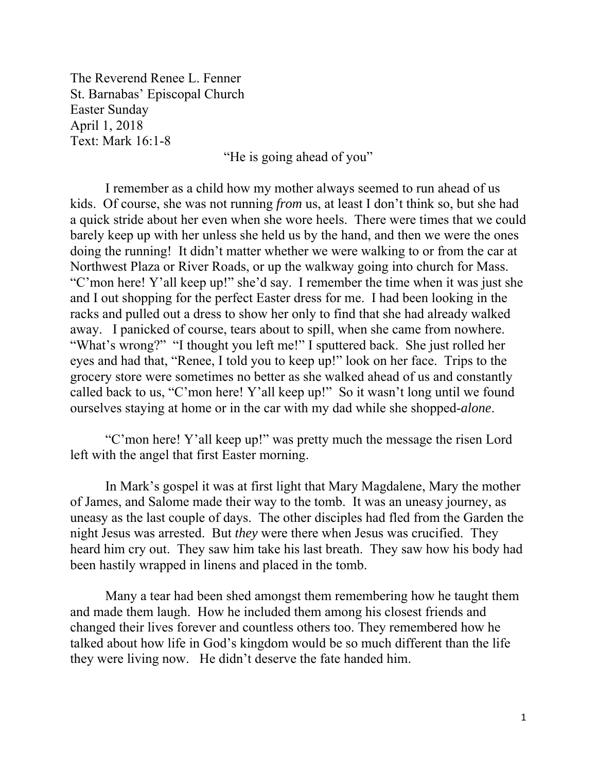The Reverend Renee L. Fenner St. Barnabas' Episcopal Church Easter Sunday April 1, 2018 Text: Mark 16:1-8

"He is going ahead of you"

 I remember as a child how my mother always seemed to run ahead of us kids. Of course, she was not running *from* us, at least I don't think so, but she had a quick stride about her even when she wore heels. There were times that we could barely keep up with her unless she held us by the hand, and then we were the ones doing the running! It didn't matter whether we were walking to or from the car at Northwest Plaza or River Roads, or up the walkway going into church for Mass. "C'mon here! Y'all keep up!" she'd say. I remember the time when it was just she and I out shopping for the perfect Easter dress for me. I had been looking in the racks and pulled out a dress to show her only to find that she had already walked away. I panicked of course, tears about to spill, when she came from nowhere. "What's wrong?" "I thought you left me!" I sputtered back. She just rolled her eyes and had that, "Renee, I told you to keep up!" look on her face. Trips to the grocery store were sometimes no better as she walked ahead of us and constantly called back to us, "C'mon here! Y'all keep up!" So it wasn't long until we found ourselves staying at home or in the car with my dad while she shopped-*alone*.

 "C'mon here! Y'all keep up!" was pretty much the message the risen Lord left with the angel that first Easter morning.

In Mark's gospel it was at first light that Mary Magdalene, Mary the mother of James, and Salome made their way to the tomb. It was an uneasy journey, as uneasy as the last couple of days. The other disciples had fled from the Garden the night Jesus was arrested. But *they* were there when Jesus was crucified. They heard him cry out. They saw him take his last breath. They saw how his body had been hastily wrapped in linens and placed in the tomb.

Many a tear had been shed amongst them remembering how he taught them and made them laugh. How he included them among his closest friends and changed their lives forever and countless others too. They remembered how he talked about how life in God's kingdom would be so much different than the life they were living now. He didn't deserve the fate handed him.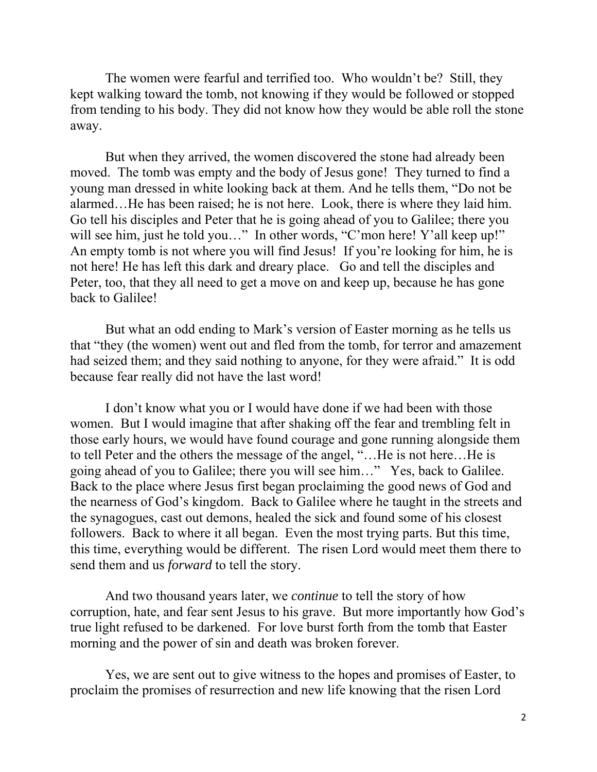The women were fearful and terrified too. Who wouldn't be? Still, they kept walking toward the tomb, not knowing if they would be followed or stopped from tending to his body. They did not know how they would be able roll the stone away.

 But when they arrived, the women discovered the stone had already been moved. The tomb was empty and the body of Jesus gone! They turned to find a young man dressed in white looking back at them. And he tells them, "Do not be alarmed…He has been raised; he is not here. Look, there is where they laid him. Go tell his disciples and Peter that he is going ahead of you to Galilee; there you will see him, just he told you..." In other words, "C'mon here! Y'all keep up!" An empty tomb is not where you will find Jesus! If you're looking for him, he is not here! He has left this dark and dreary place. Go and tell the disciples and Peter, too, that they all need to get a move on and keep up, because he has gone back to Galilee!

 But what an odd ending to Mark's version of Easter morning as he tells us that "they (the women) went out and fled from the tomb, for terror and amazement had seized them; and they said nothing to anyone, for they were afraid." It is odd because fear really did not have the last word!

 I don't know what you or I would have done if we had been with those women. But I would imagine that after shaking off the fear and trembling felt in those early hours, we would have found courage and gone running alongside them to tell Peter and the others the message of the angel, "…He is not here…He is going ahead of you to Galilee; there you will see him…" Yes, back to Galilee. Back to the place where Jesus first began proclaiming the good news of God and the nearness of God's kingdom. Back to Galilee where he taught in the streets and the synagogues, cast out demons, healed the sick and found some of his closest followers. Back to where it all began. Even the most trying parts. But this time, this time, everything would be different. The risen Lord would meet them there to send them and us *forward* to tell the story.

And two thousand years later, we *continue* to tell the story of how corruption, hate, and fear sent Jesus to his grave. But more importantly how God's true light refused to be darkened. For love burst forth from the tomb that Easter morning and the power of sin and death was broken forever.

 Yes, we are sent out to give witness to the hopes and promises of Easter, to proclaim the promises of resurrection and new life knowing that the risen Lord